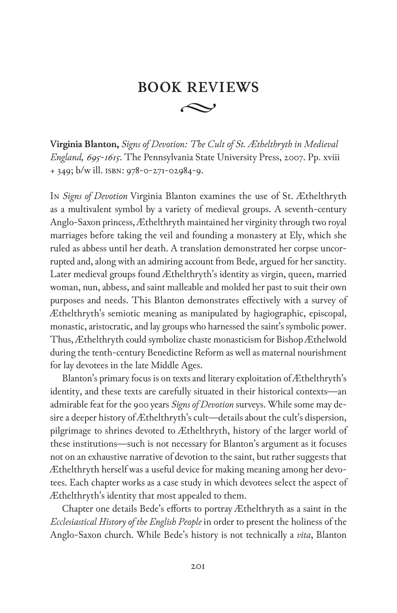## $\rightsquigarrow$ **book reviews**

**Virginia Blanton,** *Signs of Devotion: The Cult of St. Æthelthryth in Medieval England, 695-1615*. The Pennsylvania State University Press, 2007. Pp. xviii + 349; b/w ill. isbn: 978-0-271-02984-9.

In *Signs of Devotion* Virginia Blanton examines the use of St. Æthelthryth as a multivalent symbol by a variety of medieval groups. A seventh-century Anglo-Saxon princess, Æthelthryth maintained her virginity through two royal marriages before taking the veil and founding a monastery at Ely, which she ruled as abbess until her death. A translation demonstrated her corpse uncorrupted and, along with an admiring account from Bede, argued for her sanctity. Later medieval groups found Æthelthryth's identity as virgin, queen, married woman, nun, abbess, and saint malleable and molded her past to suit their own purposes and needs. This Blanton demonstrates effectively with a survey of Æthelthryth's semiotic meaning as manipulated by hagiographic, episcopal, monastic, aristocratic, and lay groups who harnessed the saint's symbolic power. Thus, Æthelthryth could symbolize chaste monasticism for Bishop Æthelwold during the tenth-century Benedictine Reform as well as maternal nourishment for lay devotees in the late Middle Ages.

Blanton's primary focus is on texts and literary exploitation of Æthelthryth's identity, and these texts are carefully situated in their historical contexts—an admirable feat for the 900 years *Signs of Devotion* surveys. While some may desire a deeper history of Æthelthryth's cult—details about the cult's dispersion, pilgrimage to shrines devoted to Æthelthryth, history of the larger world of these institutions—such is not necessary for Blanton's argument as it focuses not on an exhaustive narrative of devotion to the saint, but rather suggests that Æthelthryth herself was a useful device for making meaning among her devotees. Each chapter works as a case study in which devotees select the aspect of Æthelthryth's identity that most appealed to them.

Chapter one details Bede's efforts to portray Æthelthryth as a saint in the *Ecclesiastical History of the English People* in order to present the holiness of the Anglo-Saxon church. While Bede's history is not technically a *vita*, Blanton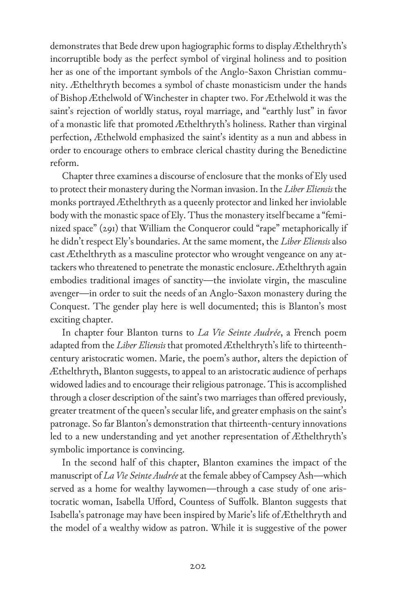demonstrates that Bede drew upon hagiographic forms to display Æthelthryth's incorruptible body as the perfect symbol of virginal holiness and to position her as one of the important symbols of the Anglo-Saxon Christian community. Æthelthryth becomes a symbol of chaste monasticism under the hands of Bishop Æthelwold of Winchester in chapter two. For Æthelwold it was the saint's rejection of worldly status, royal marriage, and "earthly lust" in favor of a monastic life that promoted Æthelthryth's holiness. Rather than virginal perfection, Æthelwold emphasized the saint's identity as a nun and abbess in order to encourage others to embrace clerical chastity during the Benedictine reform.

Chapter three examines a discourse of enclosure that the monks of Ely used to protect their monastery during the Norman invasion. In the *Liber Eliensis* the monks portrayed Æthelthryth as a queenly protector and linked her inviolable body with the monastic space of Ely. Thus the monastery itself became a "feminized space" (291) that William the Conqueror could "rape" metaphorically if he didn't respect Ely's boundaries. At the same moment, the *Liber Eliensis* also cast Æthelthryth as a masculine protector who wrought vengeance on any attackers who threatened to penetrate the monastic enclosure. Æthelthryth again embodies traditional images of sanctity—the inviolate virgin, the masculine avenger—in order to suit the needs of an Anglo-Saxon monastery during the Conquest. The gender play here is well documented; this is Blanton's most exciting chapter.

In chapter four Blanton turns to *La Vie Seinte Audrée*, a French poem adapted from the *Liber Eliensis* that promoted Æthelthryth's life to thirteenthcentury aristocratic women. Marie, the poem's author, alters the depiction of Æthelthryth, Blanton suggests, to appeal to an aristocratic audience of perhaps widowed ladies and to encourage their religious patronage. This is accomplished through a closer description of the saint's two marriages than offered previously, greater treatment of the queen's secular life, and greater emphasis on the saint's patronage. So far Blanton's demonstration that thirteenth-century innovations led to a new understanding and yet another representation of Æthelthryth's symbolic importance is convincing.

In the second half of this chapter, Blanton examines the impact of the manuscript of *La Vie Seinte Audrée* at the female abbey of Campsey Ash—which served as a home for wealthy laywomen—through a case study of one aristocratic woman, Isabella Ufford, Countess of Suffolk. Blanton suggests that Isabella's patronage may have been inspired by Marie's life of Æthelthryth and the model of a wealthy widow as patron. While it is suggestive of the power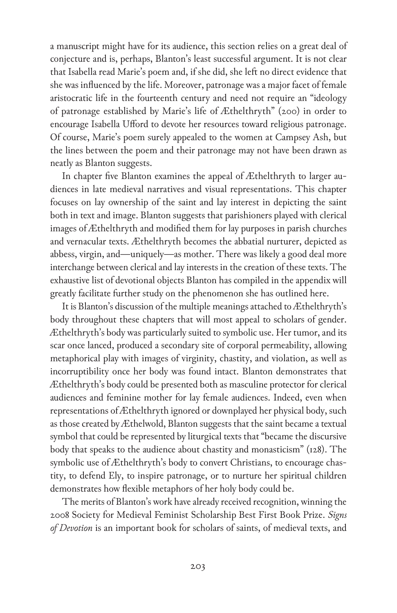a manuscript might have for its audience, this section relies on a great deal of conjecture and is, perhaps, Blanton's least successful argument. It is not clear that Isabella read Marie's poem and, if she did, she left no direct evidence that she was influenced by the life. Moreover, patronage was a major facet of female aristocratic life in the fourteenth century and need not require an "ideology of patronage established by Marie's life of Æthelthryth" (200) in order to encourage Isabella Ufford to devote her resources toward religious patronage. Of course, Marie's poem surely appealed to the women at Campsey Ash, but the lines between the poem and their patronage may not have been drawn as neatly as Blanton suggests.

In chapter five Blanton examines the appeal of Æthelthryth to larger audiences in late medieval narratives and visual representations. This chapter focuses on lay ownership of the saint and lay interest in depicting the saint both in text and image. Blanton suggests that parishioners played with clerical images of Æthelthryth and modified them for lay purposes in parish churches and vernacular texts. Æthelthryth becomes the abbatial nurturer, depicted as abbess, virgin, and—uniquely—as mother. There was likely a good deal more interchange between clerical and lay interests in the creation of these texts. The exhaustive list of devotional objects Blanton has compiled in the appendix will greatly facilitate further study on the phenomenon she has outlined here.

It is Blanton's discussion of the multiple meanings attached to Æthelthryth's body throughout these chapters that will most appeal to scholars of gender. Æthelthryth's body was particularly suited to symbolic use. Her tumor, and its scar once lanced, produced a secondary site of corporal permeability, allowing metaphorical play with images of virginity, chastity, and violation, as well as incorruptibility once her body was found intact. Blanton demonstrates that Æthelthryth's body could be presented both as masculine protector for clerical audiences and feminine mother for lay female audiences. Indeed, even when representations of Æthelthryth ignored or downplayed her physical body, such as those created by Æthelwold, Blanton suggests that the saint became a textual symbol that could be represented by liturgical texts that "became the discursive body that speaks to the audience about chastity and monasticism" (128). The symbolic use of Æthelthryth's body to convert Christians, to encourage chastity, to defend Ely, to inspire patronage, or to nurture her spiritual children demonstrates how flexible metaphors of her holy body could be.

The merits of Blanton's work have already received recognition, winning the 2008 Society for Medieval Feminist Scholarship Best First Book Prize. *Signs of Devotion* is an important book for scholars of saints, of medieval texts, and